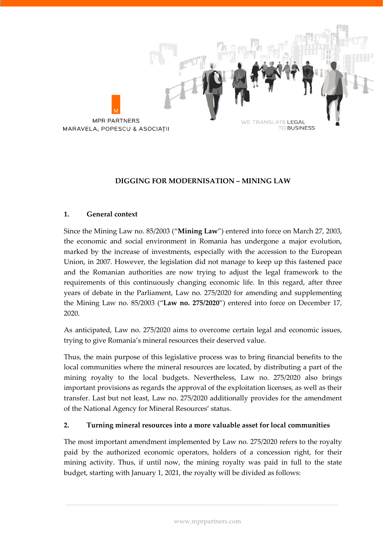

# **DIGGING FOR MODERNISATION – MINING LAW**

## **1. General context**

Since the Mining Law no. 85/2003 ("**Mining Law**") entered into force on March 27, 2003, the economic and social environment in Romania has undergone a major evolution, marked by the increase of investments, especially with the accession to the European Union, in 2007. However, the legislation did not manage to keep up this fastened pace and the Romanian authorities are now trying to adjust the legal framework to the requirements of this continuously changing economic life. In this regard, after three years of debate in the Parliament, Law no. 275/2020 for amending and supplementing the Mining Law no. 85/2003 ("**Law no. 275/2020**") entered into force on December 17, 2020.

As anticipated, Law no. 275/2020 aims to overcome certain legal and economic issues, trying to give Romania's mineral resources their deserved value.

Thus, the main purpose of this legislative process was to bring financial benefits to the local communities where the mineral resources are located, by distributing a part of the mining royalty to the local budgets. Nevertheless, Law no. 275/2020 also brings important provisions as regards the approval of the exploitation licenses, as well as their transfer. Last but not least, Law no. 275/2020 additionally provides for the amendment of the National Agency for Mineral Resources' status.

# **2. Turning mineral resources into a more valuable asset for local communities**

The most important amendment implemented by Law no. 275/2020 refers to the royalty paid by the authorized economic operators, holders of a concession right, for their mining activity. Thus, if until now, the mining royalty was paid in full to the state budget, starting with January 1, 2021, the royalty will be divided as follows: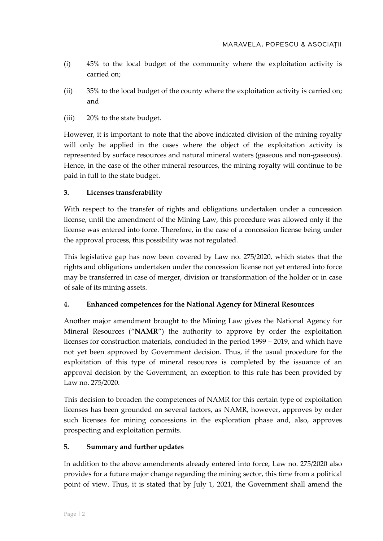- (i) 45% to the local budget of the community where the exploitation activity is carried on;
- (ii) 35% to the local budget of the county where the exploitation activity is carried on; and
- (iii) 20% to the state budget.

However, it is important to note that the above indicated division of the mining royalty will only be applied in the cases where the object of the exploitation activity is represented by surface resources and natural mineral waters (gaseous and non-gaseous). Hence, in the case of the other mineral resources, the mining royalty will continue to be paid in full to the state budget.

# **3. Licenses transferability**

With respect to the transfer of rights and obligations undertaken under a concession license, until the amendment of the Mining Law, this procedure was allowed only if the license was entered into force. Therefore, in the case of a concession license being under the approval process, this possibility was not regulated.

This legislative gap has now been covered by Law no. 275/2020, which states that the rights and obligations undertaken under the concession license not yet entered into force may be transferred in case of merger, division or transformation of the holder or in case of sale of its mining assets.

## **4. Enhanced competences for the National Agency for Mineral Resources**

Another major amendment brought to the Mining Law gives the National Agency for Mineral Resources ("**NAMR**") the authority to approve by order the exploitation licenses for construction materials, concluded in the period 1999 – 2019, and which have not yet been approved by Government decision. Thus, if the usual procedure for the exploitation of this type of mineral resources is completed by the issuance of an approval decision by the Government, an exception to this rule has been provided by Law no. 275/2020.

This decision to broaden the competences of NAMR for this certain type of exploitation licenses has been grounded on several factors, as NAMR, however, approves by order such licenses for mining concessions in the exploration phase and, also, approves prospecting and exploitation permits.

## **5. Summary and further updates**

In addition to the above amendments already entered into force, Law no. 275/2020 also provides for a future major change regarding the mining sector, this time from a political point of view. Thus, it is stated that by July 1, 2021, the Government shall amend the